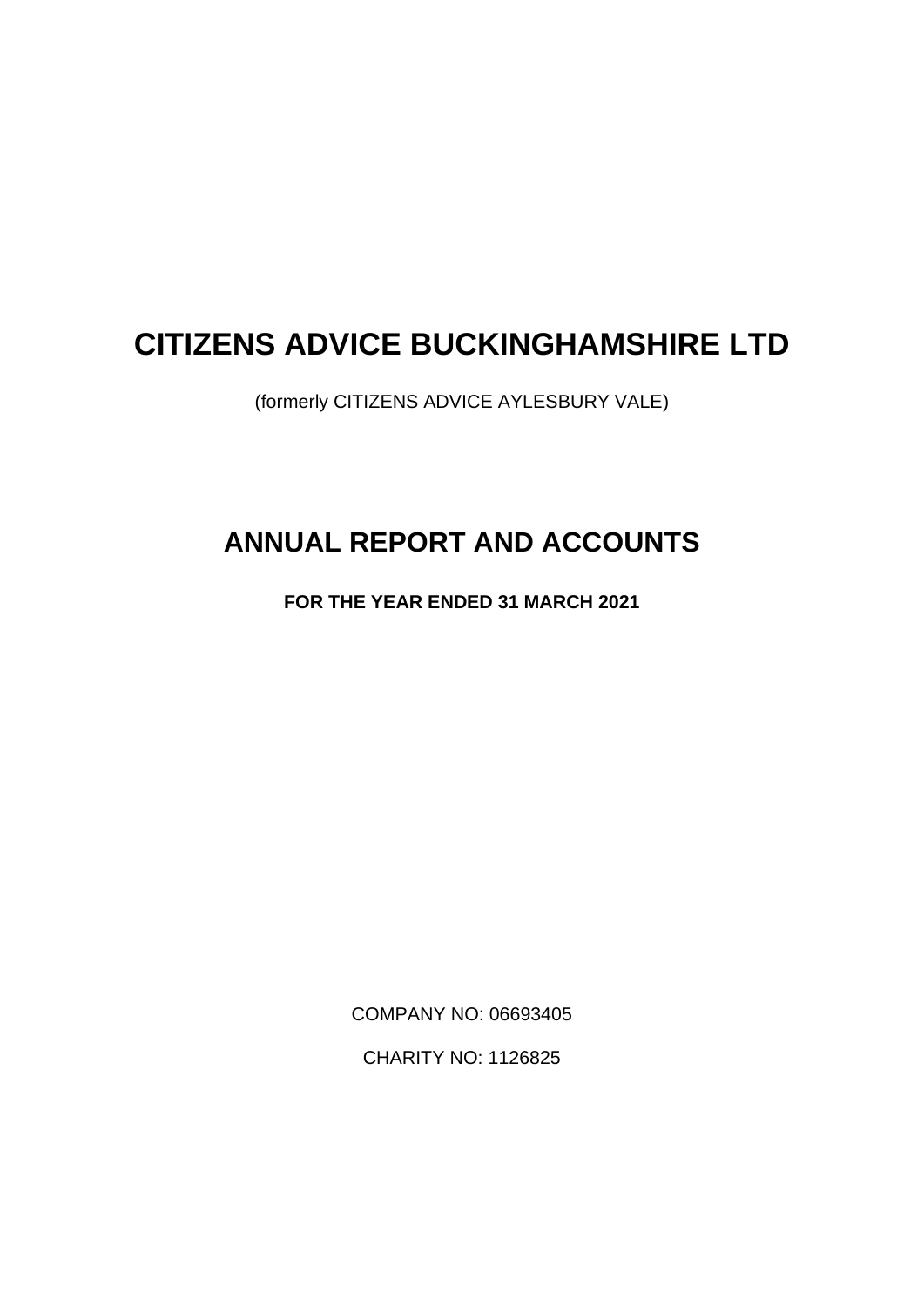# **CITIZENS ADVICE BUCKINGHAMSHIRE LTD**

(formerly CITIZENS ADVICE AYLESBURY VALE)

# **ANNUAL REPORT AND ACCOUNTS**

**FOR THE YEAR ENDED 31 MARCH 2021**

COMPANY NO: 06693405

CHARITY NO: 1126825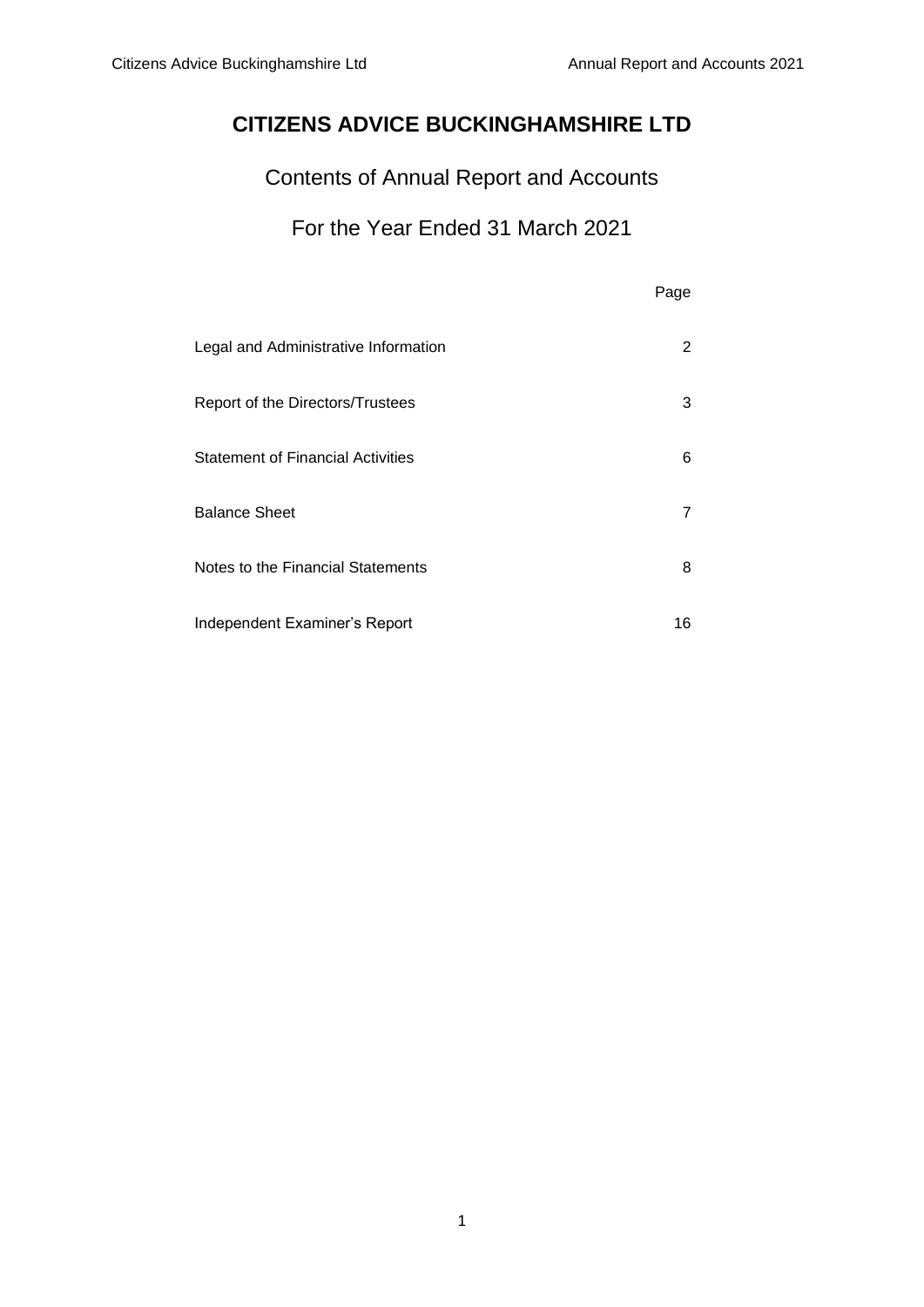# **CITIZENS ADVICE BUCKINGHAMSHIRE LTD**

Contents of Annual Report and Accounts

# For the Year Ended 31 March 2021

|                                          | Page |
|------------------------------------------|------|
| Legal and Administrative Information     | 2    |
| Report of the Directors/Trustees         | 3    |
| <b>Statement of Financial Activities</b> | 6    |
| <b>Balance Sheet</b>                     | 7    |
| Notes to the Financial Statements        | 8    |
| Independent Examiner's Report            | 16   |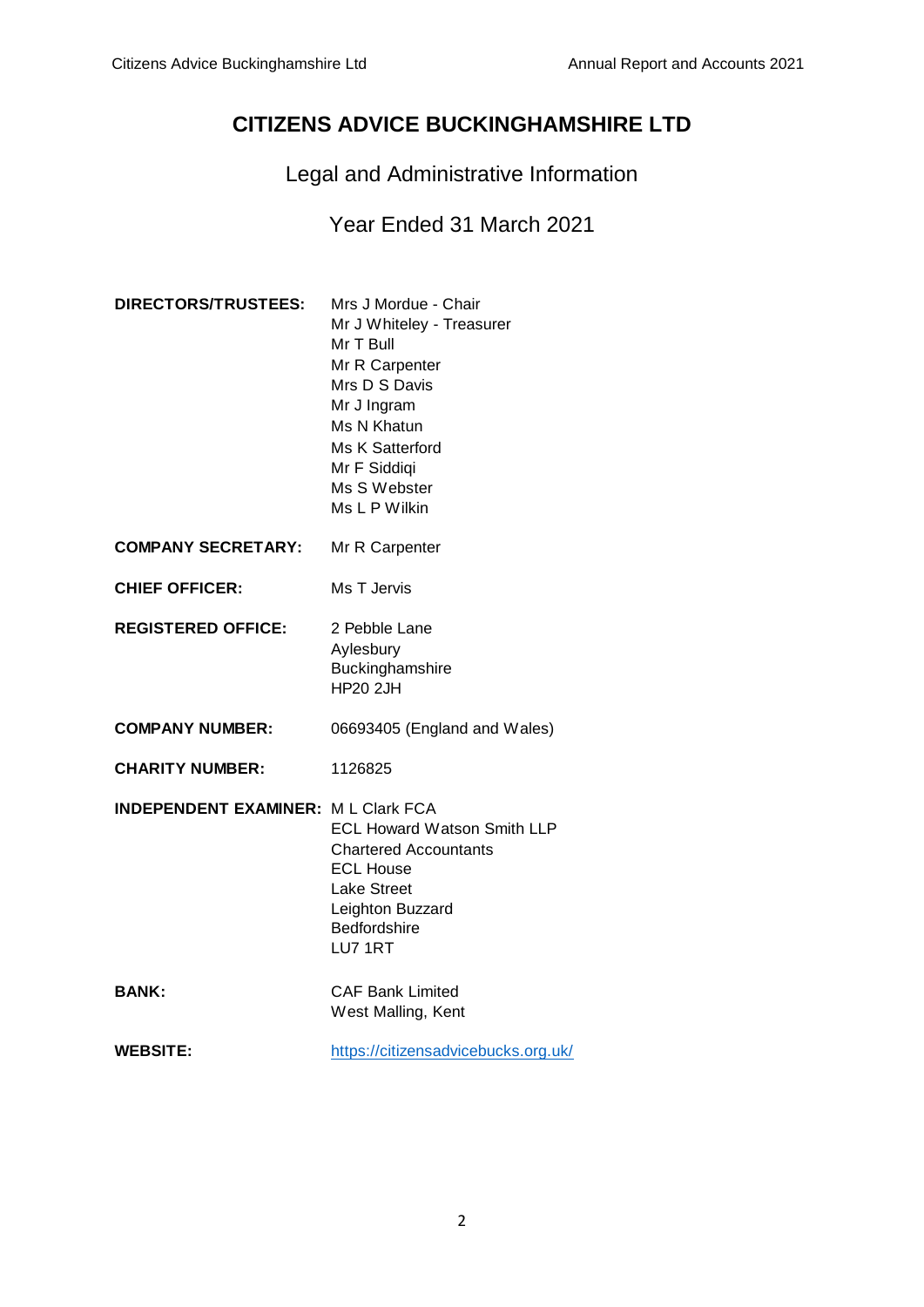# **CITIZENS ADVICE BUCKINGHAMSHIRE LTD**

Legal and Administrative Information

# Year Ended 31 March 2021

| <b>DIRECTORS/TRUSTEES:</b>                 | Mrs J Mordue - Chair<br>Mr J Whiteley - Treasurer<br>Mr T Bull<br>Mr R Carpenter<br>Mrs D S Davis<br>Mr J Ingram<br>Ms N Khatun<br>Ms K Satterford<br>Mr F Siddiqi<br>Ms S Webster<br>Ms L P Wilkin |
|--------------------------------------------|-----------------------------------------------------------------------------------------------------------------------------------------------------------------------------------------------------|
| <b>COMPANY SECRETARY:</b>                  | Mr R Carpenter                                                                                                                                                                                      |
| <b>CHIEF OFFICER:</b>                      | Ms T Jervis                                                                                                                                                                                         |
| <b>REGISTERED OFFICE:</b>                  | 2 Pebble Lane<br>Aylesbury<br>Buckinghamshire<br><b>HP20 2JH</b>                                                                                                                                    |
| <b>COMPANY NUMBER:</b>                     | 06693405 (England and Wales)                                                                                                                                                                        |
| <b>CHARITY NUMBER:</b>                     | 1126825                                                                                                                                                                                             |
| <b>INDEPENDENT EXAMINER: M L Clark FCA</b> | <b>ECL Howard Watson Smith LLP</b><br><b>Chartered Accountants</b><br><b>ECL House</b><br><b>Lake Street</b><br>Leighton Buzzard<br><b>Bedfordshire</b><br>LU7 1RT                                  |
| <b>BANK:</b>                               | <b>CAF Bank Limited</b><br>West Malling, Kent                                                                                                                                                       |
| <b>WEBSITE:</b>                            | https://citizensadvicebucks.org.uk/                                                                                                                                                                 |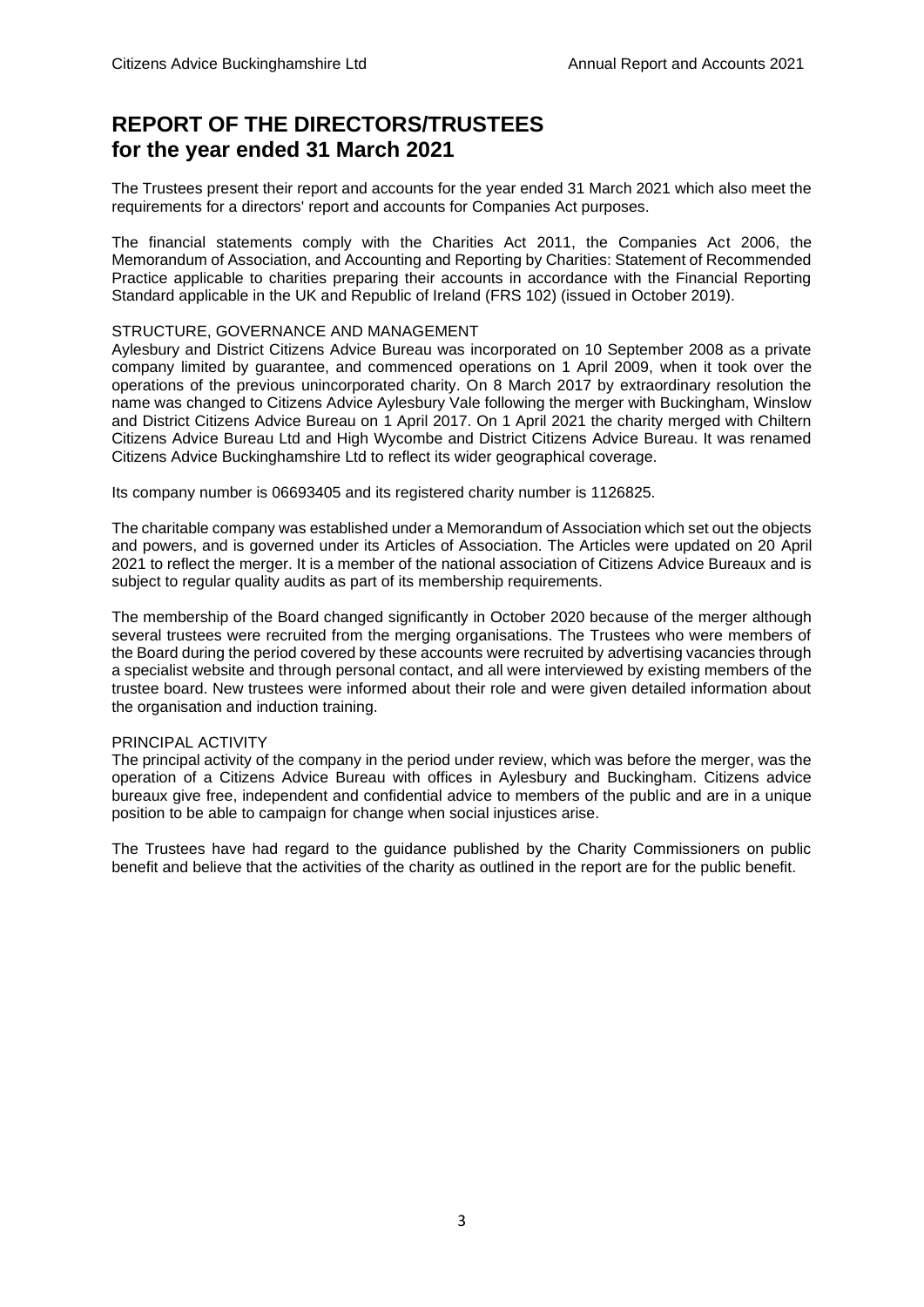# **REPORT OF THE DIRECTORS/TRUSTEES for the year ended 31 March 2021**

The Trustees present their report and accounts for the year ended 31 March 2021 which also meet the requirements for a directors' report and accounts for Companies Act purposes.

The financial statements comply with the Charities Act 2011, the Companies Act 2006, the Memorandum of Association, and Accounting and Reporting by Charities: Statement of Recommended Practice applicable to charities preparing their accounts in accordance with the Financial Reporting Standard applicable in the UK and Republic of Ireland (FRS 102) (issued in October 2019).

### STRUCTURE, GOVERNANCE AND MANAGEMENT

Aylesbury and District Citizens Advice Bureau was incorporated on 10 September 2008 as a private company limited by guarantee, and commenced operations on 1 April 2009, when it took over the operations of the previous unincorporated charity. On 8 March 2017 by extraordinary resolution the name was changed to Citizens Advice Aylesbury Vale following the merger with Buckingham, Winslow and District Citizens Advice Bureau on 1 April 2017. On 1 April 2021 the charity merged with Chiltern Citizens Advice Bureau Ltd and High Wycombe and District Citizens Advice Bureau. It was renamed Citizens Advice Buckinghamshire Ltd to reflect its wider geographical coverage.

Its company number is 06693405 and its registered charity number is 1126825.

The charitable company was established under a Memorandum of Association which set out the objects and powers, and is governed under its Articles of Association. The Articles were updated on 20 April 2021 to reflect the merger. It is a member of the national association of Citizens Advice Bureaux and is subject to regular quality audits as part of its membership requirements.

The membership of the Board changed significantly in October 2020 because of the merger although several trustees were recruited from the merging organisations. The Trustees who were members of the Board during the period covered by these accounts were recruited by advertising vacancies through a specialist website and through personal contact, and all were interviewed by existing members of the trustee board. New trustees were informed about their role and were given detailed information about the organisation and induction training.

### PRINCIPAL ACTIVITY

The principal activity of the company in the period under review, which was before the merger, was the operation of a Citizens Advice Bureau with offices in Aylesbury and Buckingham. Citizens advice bureaux give free, independent and confidential advice to members of the public and are in a unique position to be able to campaign for change when social injustices arise.

The Trustees have had regard to the guidance published by the Charity Commissioners on public benefit and believe that the activities of the charity as outlined in the report are for the public benefit.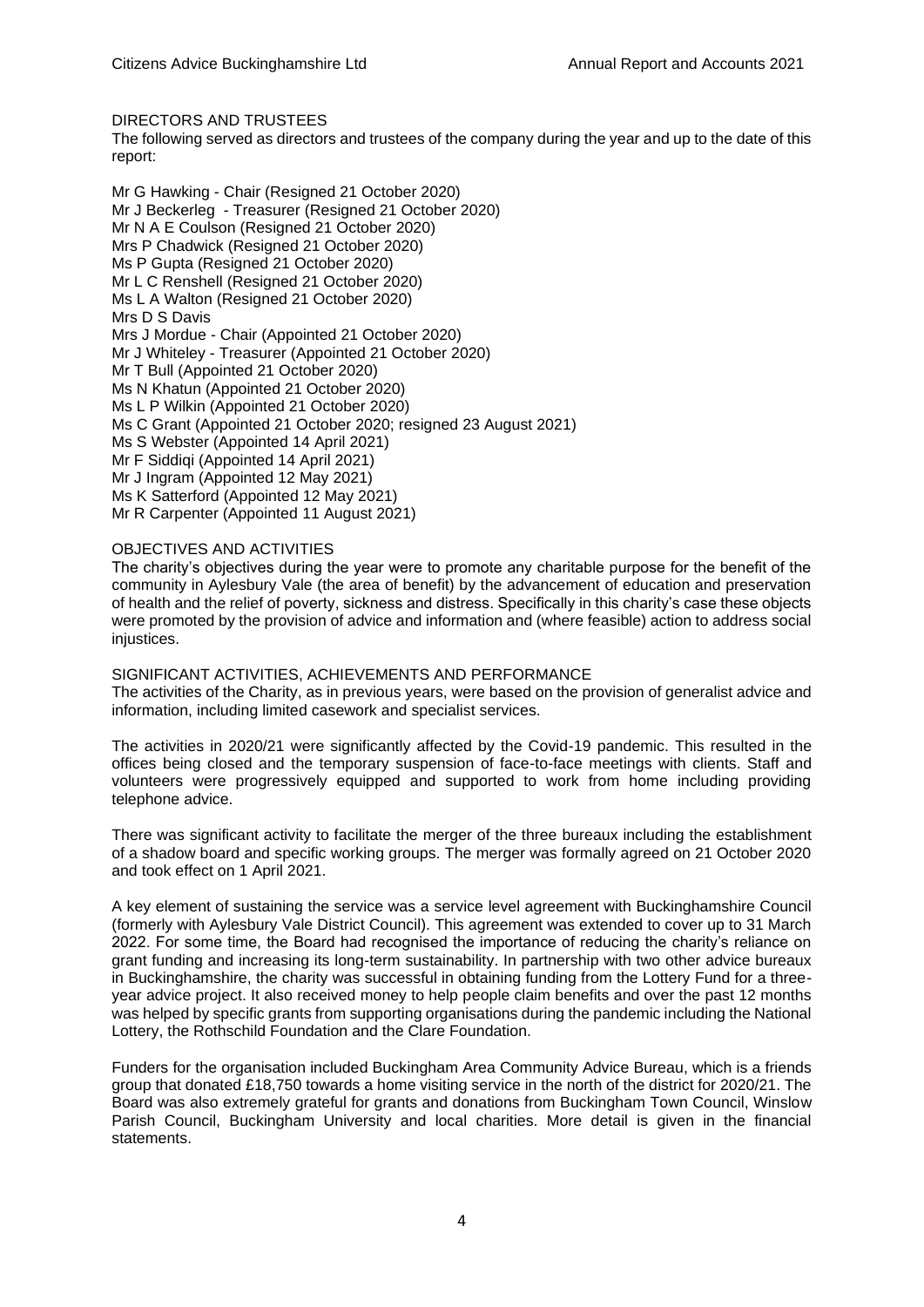#### DIRECTORS AND TRUSTEES

The following served as directors and trustees of the company during the year and up to the date of this report:

Mr G Hawking - Chair (Resigned 21 October 2020) Mr J Beckerleg - Treasurer (Resigned 21 October 2020) Mr N A E Coulson (Resigned 21 October 2020) Mrs P Chadwick (Resigned 21 October 2020) Ms P Gupta (Resigned 21 October 2020) Mr L C Renshell (Resigned 21 October 2020) Ms L A Walton (Resigned 21 October 2020) Mrs D S Davis Mrs J Mordue - Chair (Appointed 21 October 2020) Mr J Whiteley - Treasurer (Appointed 21 October 2020) Mr T Bull (Appointed 21 October 2020) Ms N Khatun (Appointed 21 October 2020) Ms L P Wilkin (Appointed 21 October 2020) Ms C Grant (Appointed 21 October 2020; resigned 23 August 2021) Ms S Webster (Appointed 14 April 2021) Mr F Siddiqi (Appointed 14 April 2021) Mr J Ingram (Appointed 12 May 2021) Ms K Satterford (Appointed 12 May 2021) Mr R Carpenter (Appointed 11 August 2021)

#### OBJECTIVES AND ACTIVITIES

The charity's objectives during the year were to promote any charitable purpose for the benefit of the community in Aylesbury Vale (the area of benefit) by the advancement of education and preservation of health and the relief of poverty, sickness and distress. Specifically in this charity's case these objects were promoted by the provision of advice and information and (where feasible) action to address social iniustices.

#### SIGNIFICANT ACTIVITIES, ACHIEVEMENTS AND PERFORMANCE

The activities of the Charity, as in previous years, were based on the provision of generalist advice and information, including limited casework and specialist services.

The activities in 2020/21 were significantly affected by the Covid-19 pandemic. This resulted in the offices being closed and the temporary suspension of face-to-face meetings with clients. Staff and volunteers were progressively equipped and supported to work from home including providing telephone advice.

There was significant activity to facilitate the merger of the three bureaux including the establishment of a shadow board and specific working groups. The merger was formally agreed on 21 October 2020 and took effect on 1 April 2021.

A key element of sustaining the service was a service level agreement with Buckinghamshire Council (formerly with Aylesbury Vale District Council). This agreement was extended to cover up to 31 March 2022. For some time, the Board had recognised the importance of reducing the charity's reliance on grant funding and increasing its long-term sustainability. In partnership with two other advice bureaux in Buckinghamshire, the charity was successful in obtaining funding from the Lottery Fund for a threeyear advice project. It also received money to help people claim benefits and over the past 12 months was helped by specific grants from supporting organisations during the pandemic including the National Lottery, the Rothschild Foundation and the Clare Foundation.

Funders for the organisation included Buckingham Area Community Advice Bureau, which is a friends group that donated £18,750 towards a home visiting service in the north of the district for 2020/21. The Board was also extremely grateful for grants and donations from Buckingham Town Council, Winslow Parish Council, Buckingham University and local charities. More detail is given in the financial statements.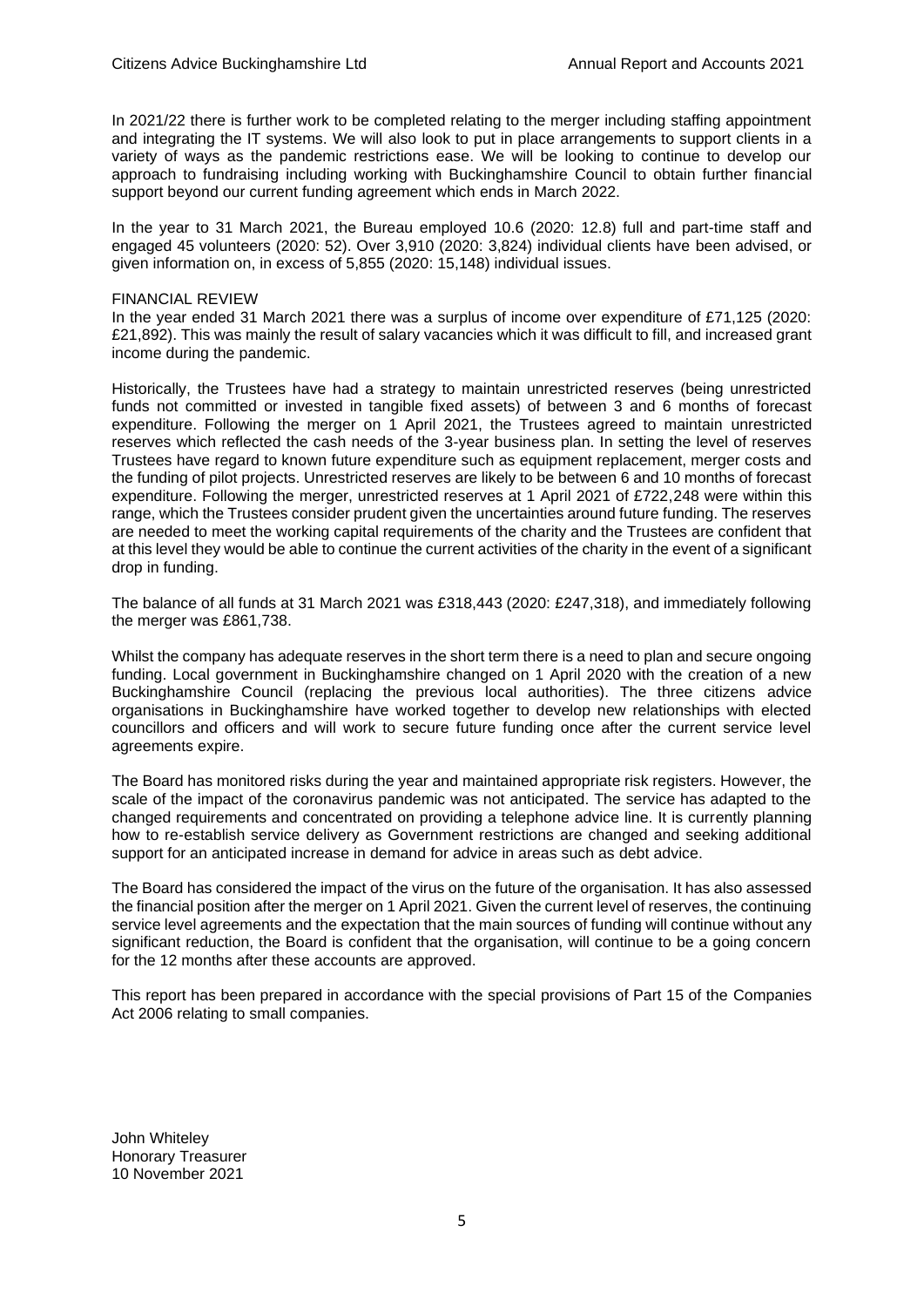In 2021/22 there is further work to be completed relating to the merger including staffing appointment and integrating the IT systems. We will also look to put in place arrangements to support clients in a variety of ways as the pandemic restrictions ease. We will be looking to continue to develop our approach to fundraising including working with Buckinghamshire Council to obtain further financial support beyond our current funding agreement which ends in March 2022.

In the year to 31 March 2021, the Bureau employed 10.6 (2020: 12.8) full and part-time staff and engaged 45 volunteers (2020: 52). Over 3,910 (2020: 3,824) individual clients have been advised, or given information on, in excess of 5,855 (2020: 15,148) individual issues.

#### FINANCIAL REVIEW

In the year ended 31 March 2021 there was a surplus of income over expenditure of £71,125 (2020: £21,892). This was mainly the result of salary vacancies which it was difficult to fill, and increased grant income during the pandemic.

Historically, the Trustees have had a strategy to maintain unrestricted reserves (being unrestricted funds not committed or invested in tangible fixed assets) of between 3 and 6 months of forecast expenditure. Following the merger on 1 April 2021, the Trustees agreed to maintain unrestricted reserves which reflected the cash needs of the 3-year business plan. In setting the level of reserves Trustees have regard to known future expenditure such as equipment replacement, merger costs and the funding of pilot projects. Unrestricted reserves are likely to be between 6 and 10 months of forecast expenditure. Following the merger, unrestricted reserves at 1 April 2021 of £722,248 were within this range, which the Trustees consider prudent given the uncertainties around future funding. The reserves are needed to meet the working capital requirements of the charity and the Trustees are confident that at this level they would be able to continue the current activities of the charity in the event of a significant drop in funding.

The balance of all funds at 31 March 2021 was £318,443 (2020: £247,318), and immediately following the merger was £861,738.

Whilst the company has adequate reserves in the short term there is a need to plan and secure ongoing funding. Local government in Buckinghamshire changed on 1 April 2020 with the creation of a new Buckinghamshire Council (replacing the previous local authorities). The three citizens advice organisations in Buckinghamshire have worked together to develop new relationships with elected councillors and officers and will work to secure future funding once after the current service level agreements expire.

The Board has monitored risks during the year and maintained appropriate risk registers. However, the scale of the impact of the coronavirus pandemic was not anticipated. The service has adapted to the changed requirements and concentrated on providing a telephone advice line. It is currently planning how to re-establish service delivery as Government restrictions are changed and seeking additional support for an anticipated increase in demand for advice in areas such as debt advice.

The Board has considered the impact of the virus on the future of the organisation. It has also assessed the financial position after the merger on 1 April 2021. Given the current level of reserves, the continuing service level agreements and the expectation that the main sources of funding will continue without any significant reduction, the Board is confident that the organisation, will continue to be a going concern for the 12 months after these accounts are approved.

This report has been prepared in accordance with the special provisions of Part 15 of the Companies Act 2006 relating to small companies.

John Whiteley Honorary Treasurer 10 November 2021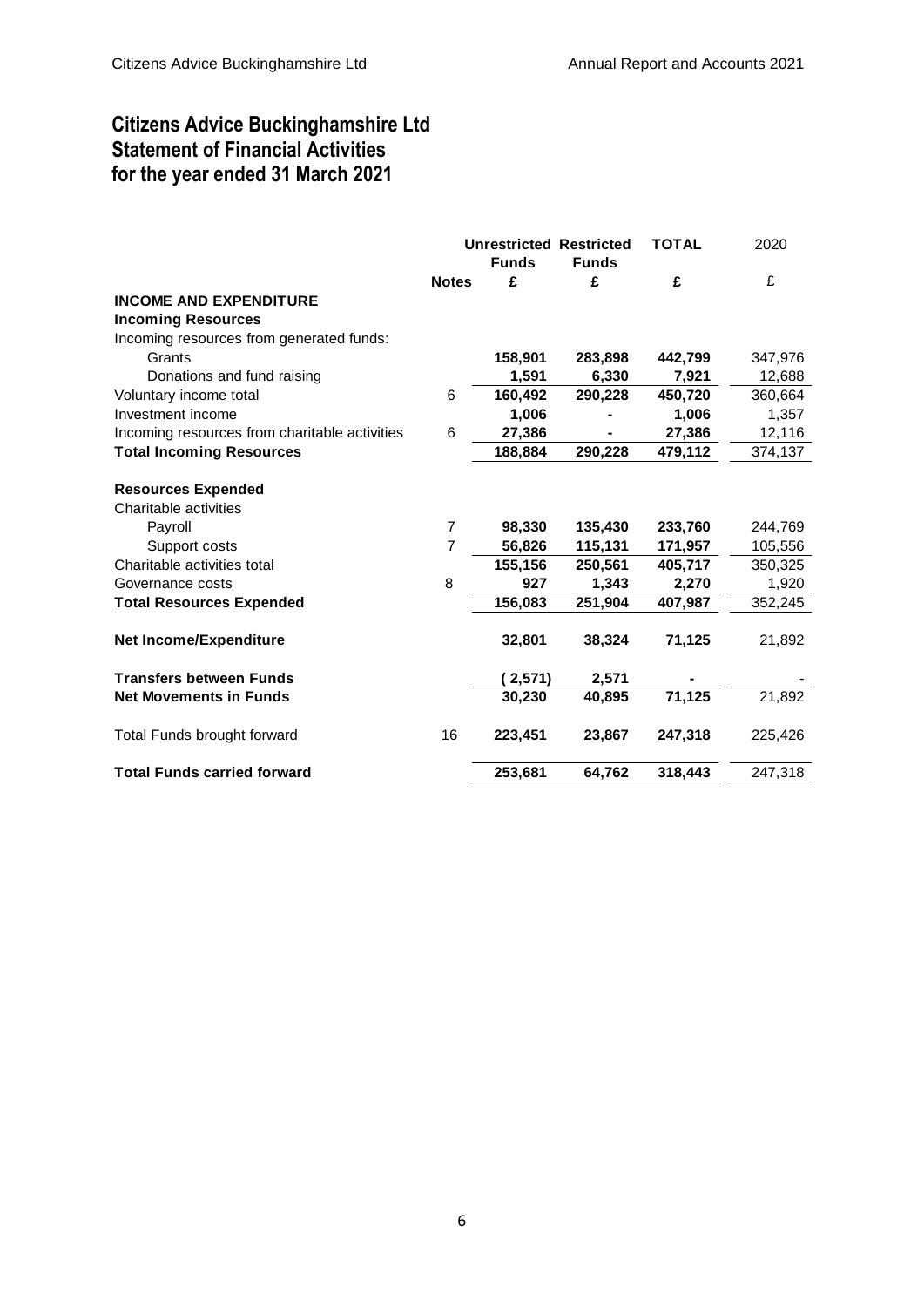# Citizens Advice Buckinghamshire Ltd Statement of Financial Activities for the year ended 31 March 2021

|                                               |                | <b>Unrestricted Restricted</b> |              | <b>TOTAL</b> | 2020    |
|-----------------------------------------------|----------------|--------------------------------|--------------|--------------|---------|
|                                               |                | <b>Funds</b>                   | <b>Funds</b> |              |         |
|                                               | <b>Notes</b>   | £                              | £            | £            | £       |
| <b>INCOME AND EXPENDITURE</b>                 |                |                                |              |              |         |
| <b>Incoming Resources</b>                     |                |                                |              |              |         |
| Incoming resources from generated funds:      |                |                                |              |              |         |
| Grants                                        |                | 158,901                        | 283,898      | 442,799      | 347,976 |
| Donations and fund raising                    |                | 1,591                          | 6,330        | 7,921        | 12,688  |
| Voluntary income total                        | 6              | 160,492                        | 290,228      | 450,720      | 360,664 |
| Investment income                             |                | 1,006                          |              | 1,006        | 1,357   |
| Incoming resources from charitable activities | 6              | 27,386                         |              | 27,386       | 12,116  |
| <b>Total Incoming Resources</b>               |                | 188,884                        | 290,228      | 479,112      | 374,137 |
|                                               |                |                                |              |              |         |
| <b>Resources Expended</b>                     |                |                                |              |              |         |
| Charitable activities                         |                |                                |              |              |         |
| Payroll                                       | 7              | 98,330                         | 135,430      | 233,760      | 244,769 |
| Support costs                                 | $\overline{7}$ | 56,826                         | 115,131      | 171,957      | 105,556 |
| Charitable activities total                   |                | 155,156                        | 250,561      | 405,717      | 350,325 |
| Governance costs                              | 8              | 927                            | 1,343        | 2,270        | 1,920   |
| <b>Total Resources Expended</b>               |                | 156,083                        | 251,904      | 407,987      | 352,245 |
|                                               |                |                                |              |              |         |
| <b>Net Income/Expenditure</b>                 |                | 32,801                         | 38,324       | 71,125       | 21,892  |
|                                               |                |                                |              |              |         |
| <b>Transfers between Funds</b>                |                | (2,571)                        | 2,571        |              |         |
| <b>Net Movements in Funds</b>                 |                | 30,230                         | 40,895       | 71,125       | 21,892  |
|                                               |                |                                |              |              |         |
| Total Funds brought forward                   | 16             | 223,451                        | 23,867       | 247,318      | 225,426 |
|                                               |                |                                |              |              |         |
| <b>Total Funds carried forward</b>            |                | 253,681                        | 64,762       | 318,443      | 247,318 |
|                                               |                |                                |              |              |         |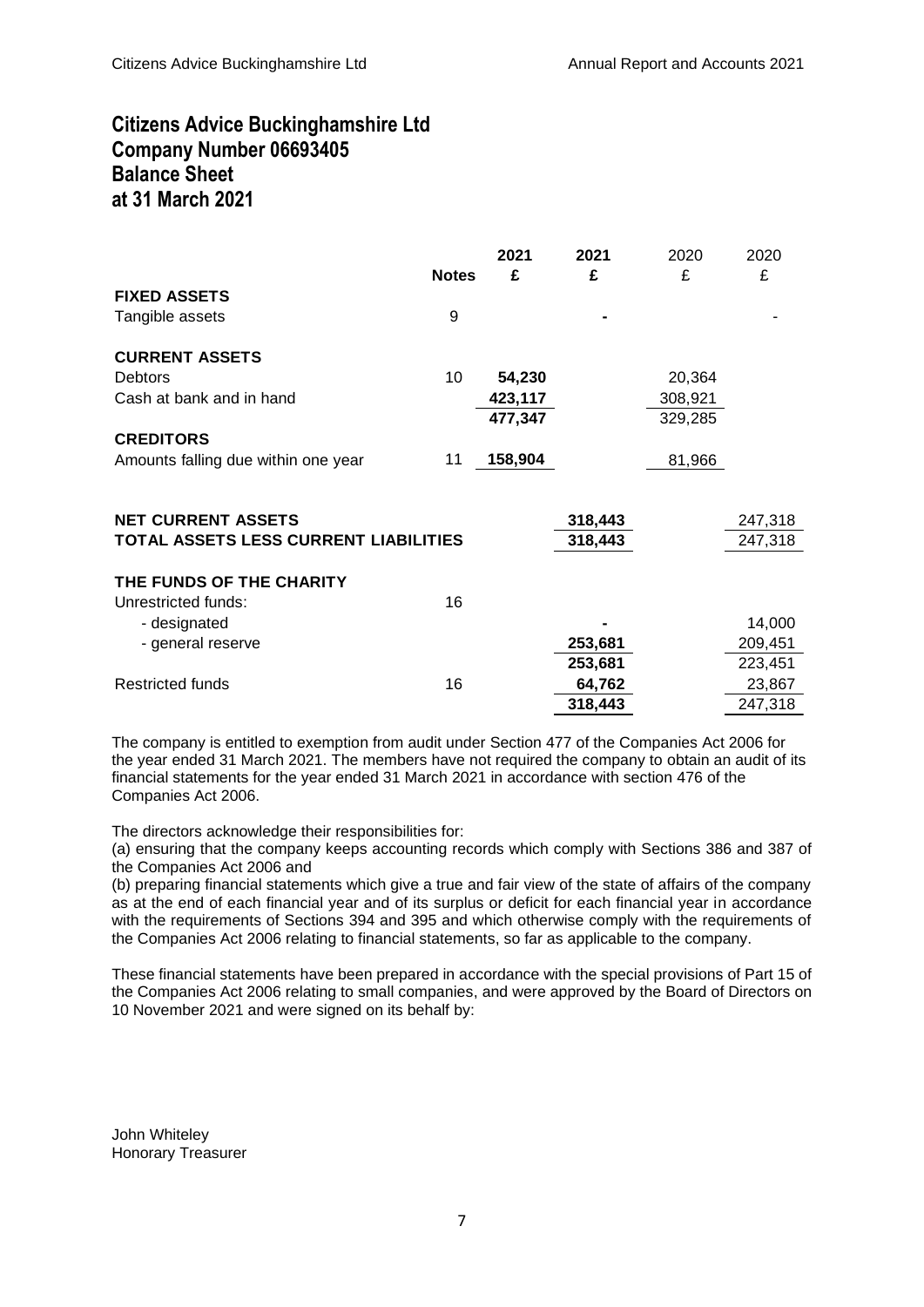# Citizens Advice Buckinghamshire Ltd Company Number 06693405 Balance Sheet at 31 March 2021

|                                                 | <b>Notes</b> | 2021<br>£ | 2021<br>£ | 2020<br>£ | 2020<br>£ |
|-------------------------------------------------|--------------|-----------|-----------|-----------|-----------|
| <b>FIXED ASSETS</b>                             |              |           |           |           |           |
| Tangible assets                                 | 9            |           |           |           |           |
| <b>CURRENT ASSETS</b>                           |              |           |           |           |           |
| <b>Debtors</b>                                  | 10           | 54,230    |           | 20,364    |           |
| Cash at bank and in hand                        |              | 423,117   |           | 308,921   |           |
|                                                 |              | 477,347   |           | 329,285   |           |
| <b>CREDITORS</b>                                |              |           |           |           |           |
| Amounts falling due within one year             | 11           | 158,904   |           | 81,966    |           |
|                                                 |              |           |           |           |           |
| <b>NET CURRENT ASSETS</b>                       |              |           | 318,443   |           | 247,318   |
| TOTAL ASSETS LESS CURRENT LIABILITIES           |              |           | 318,443   |           | 247,318   |
| THE FUNDS OF THE CHARITY<br>Unrestricted funds: | 16           |           |           |           |           |
| - designated                                    |              |           |           |           | 14,000    |
| - general reserve                               |              |           | 253,681   |           | 209,451   |
|                                                 |              |           | 253,681   |           | 223,451   |
| <b>Restricted funds</b>                         | 16           |           | 64,762    |           | 23,867    |
|                                                 |              |           | 318,443   |           | 247,318   |
|                                                 |              |           |           |           |           |

The company is entitled to exemption from audit under Section 477 of the Companies Act 2006 for the year ended 31 March 2021. The members have not required the company to obtain an audit of its financial statements for the year ended 31 March 2021 in accordance with section 476 of the Companies Act 2006.

The directors acknowledge their responsibilities for:

(a) ensuring that the company keeps accounting records which comply with Sections 386 and 387 of the Companies Act 2006 and

(b) preparing financial statements which give a true and fair view of the state of affairs of the company as at the end of each financial year and of its surplus or deficit for each financial year in accordance with the requirements of Sections 394 and 395 and which otherwise comply with the requirements of the Companies Act 2006 relating to financial statements, so far as applicable to the company.

These financial statements have been prepared in accordance with the special provisions of Part 15 of the Companies Act 2006 relating to small companies, and were approved by the Board of Directors on 10 November 2021 and were signed on its behalf by:

John Whiteley Honorary Treasurer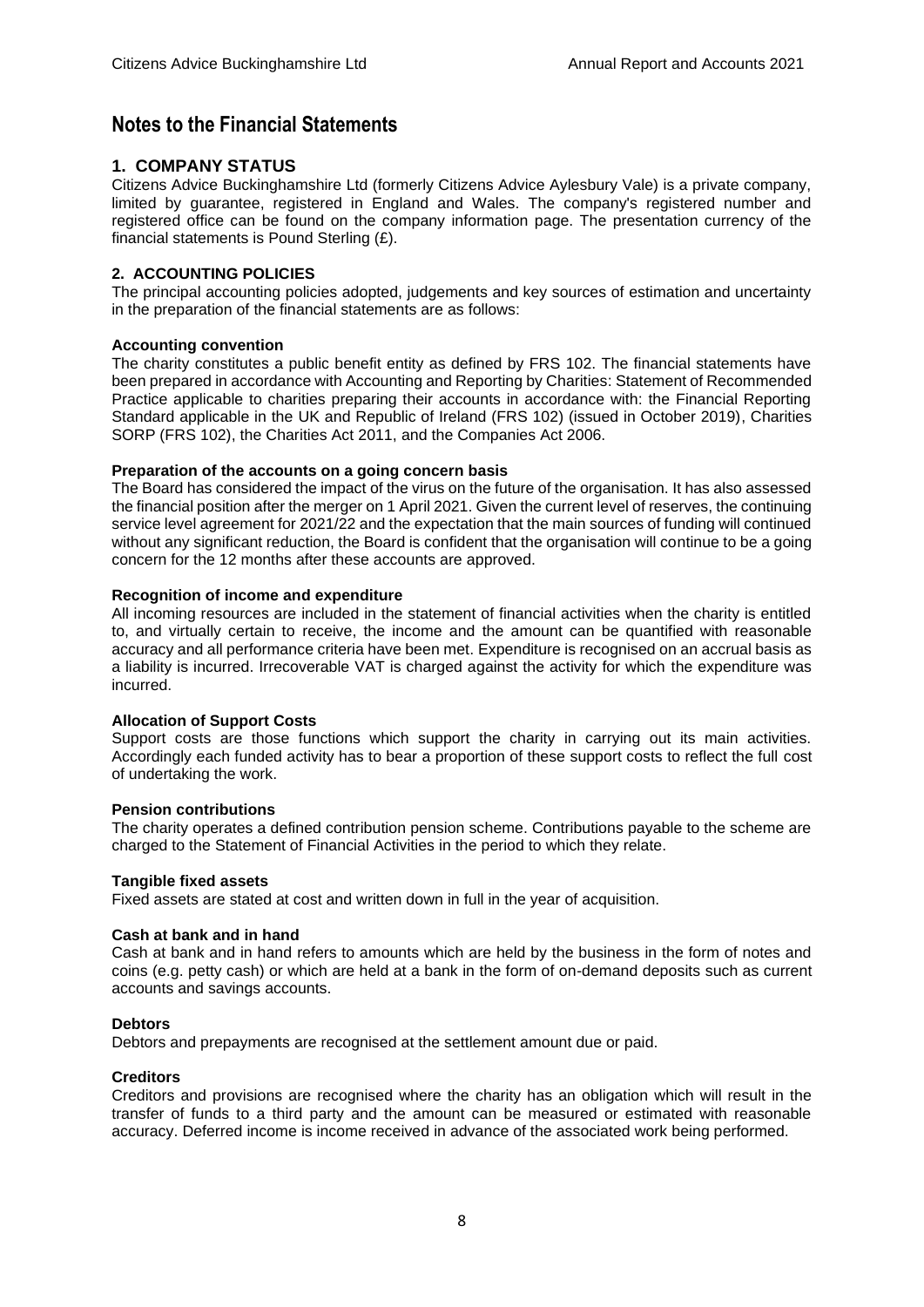# Notes to the Financial Statements

# **1. COMPANY STATUS**

Citizens Advice Buckinghamshire Ltd (formerly Citizens Advice Aylesbury Vale) is a private company, limited by guarantee, registered in England and Wales. The company's registered number and registered office can be found on the company information page. The presentation currency of the financial statements is Pound Sterling (£).

### **2. ACCOUNTING POLICIES**

The principal accounting policies adopted, judgements and key sources of estimation and uncertainty in the preparation of the financial statements are as follows:

#### **Accounting convention**

The charity constitutes a public benefit entity as defined by FRS 102. The financial statements have been prepared in accordance with Accounting and Reporting by Charities: Statement of Recommended Practice applicable to charities preparing their accounts in accordance with: the Financial Reporting Standard applicable in the UK and Republic of Ireland (FRS 102) (issued in October 2019), Charities SORP (FRS 102), the Charities Act 2011, and the Companies Act 2006.

#### **Preparation of the accounts on a going concern basis**

The Board has considered the impact of the virus on the future of the organisation. It has also assessed the financial position after the merger on 1 April 2021. Given the current level of reserves, the continuing service level agreement for 2021/22 and the expectation that the main sources of funding will continued without any significant reduction, the Board is confident that the organisation will continue to be a going concern for the 12 months after these accounts are approved.

#### **Recognition of income and expenditure**

All incoming resources are included in the statement of financial activities when the charity is entitled to, and virtually certain to receive, the income and the amount can be quantified with reasonable accuracy and all performance criteria have been met. Expenditure is recognised on an accrual basis as a liability is incurred. Irrecoverable VAT is charged against the activity for which the expenditure was incurred.

#### **Allocation of Support Costs**

Support costs are those functions which support the charity in carrying out its main activities. Accordingly each funded activity has to bear a proportion of these support costs to reflect the full cost of undertaking the work.

#### **Pension contributions**

The charity operates a defined contribution pension scheme. Contributions payable to the scheme are charged to the Statement of Financial Activities in the period to which they relate.

#### **Tangible fixed assets**

Fixed assets are stated at cost and written down in full in the year of acquisition.

#### **Cash at bank and in hand**

Cash at bank and in hand refers to amounts which are held by the business in the form of notes and coins (e.g. petty cash) or which are held at a bank in the form of on-demand deposits such as current accounts and savings accounts.

#### **Debtors**

Debtors and prepayments are recognised at the settlement amount due or paid.

#### **Creditors**

Creditors and provisions are recognised where the charity has an obligation which will result in the transfer of funds to a third party and the amount can be measured or estimated with reasonable accuracy. Deferred income is income received in advance of the associated work being performed.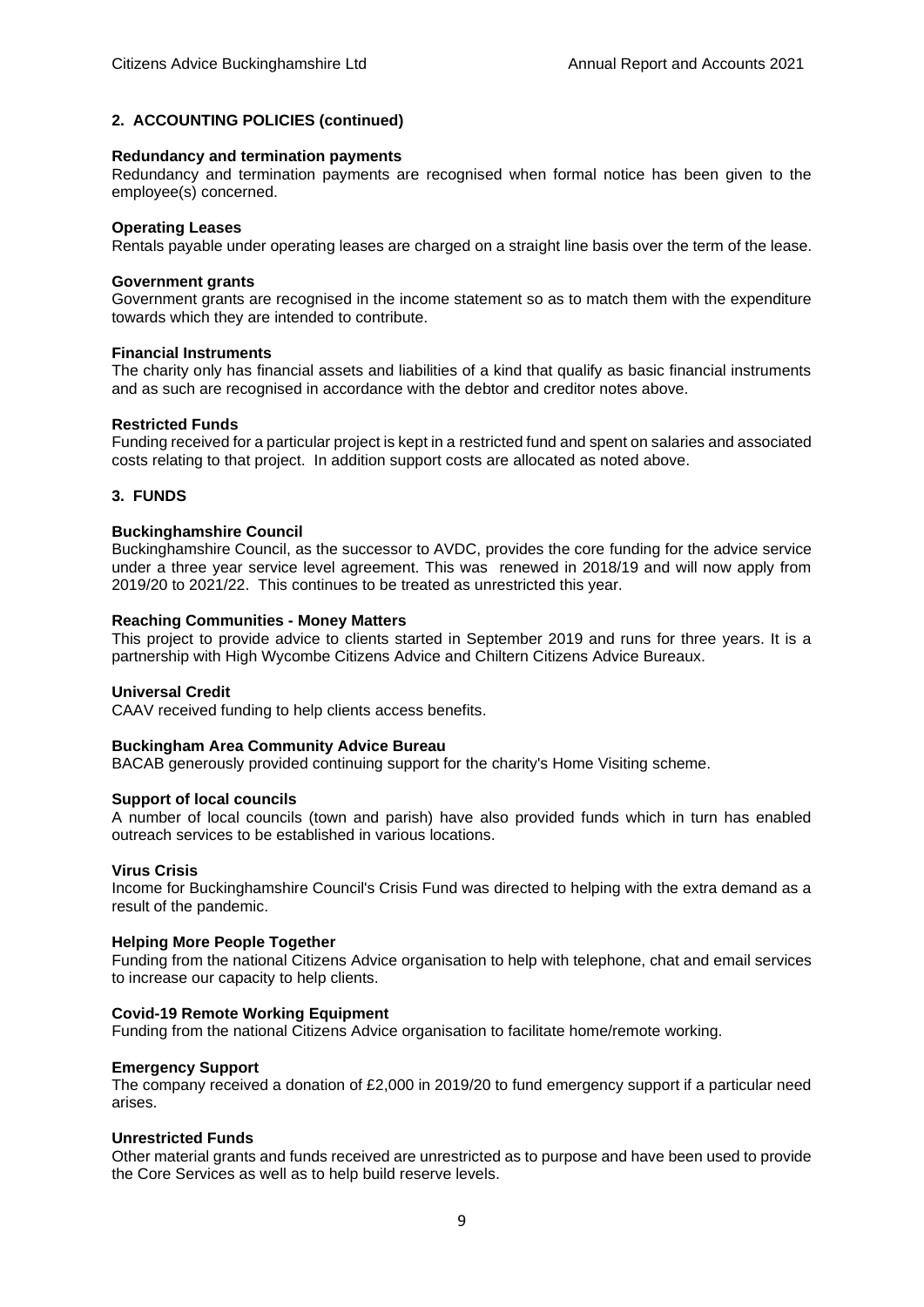#### **2. ACCOUNTING POLICIES (continued)**

#### **Redundancy and termination payments**

Redundancy and termination payments are recognised when formal notice has been given to the employee(s) concerned.

#### **Operating Leases**

Rentals payable under operating leases are charged on a straight line basis over the term of the lease.

#### **Government grants**

Government grants are recognised in the income statement so as to match them with the expenditure towards which they are intended to contribute.

#### **Financial Instruments**

The charity only has financial assets and liabilities of a kind that qualify as basic financial instruments and as such are recognised in accordance with the debtor and creditor notes above.

#### **Restricted Funds**

Funding received for a particular project is kept in a restricted fund and spent on salaries and associated costs relating to that project. In addition support costs are allocated as noted above.

#### **3. FUNDS**

#### **Buckinghamshire Council**

Buckinghamshire Council, as the successor to AVDC, provides the core funding for the advice service under a three year service level agreement. This was renewed in 2018/19 and will now apply from 2019/20 to 2021/22. This continues to be treated as unrestricted this year.

#### **Reaching Communities - Money Matters**

This project to provide advice to clients started in September 2019 and runs for three years. It is a partnership with High Wycombe Citizens Advice and Chiltern Citizens Advice Bureaux.

#### **Universal Credit**

CAAV received funding to help clients access benefits.

#### **Buckingham Area Community Advice Bureau**

BACAB generously provided continuing support for the charity's Home Visiting scheme.

#### **Support of local councils**

A number of local councils (town and parish) have also provided funds which in turn has enabled outreach services to be established in various locations.

#### **Virus Crisis**

Income for Buckinghamshire Council's Crisis Fund was directed to helping with the extra demand as a result of the pandemic.

#### **Helping More People Together**

Funding from the national Citizens Advice organisation to help with telephone, chat and email services to increase our capacity to help clients.

#### **Covid-19 Remote Working Equipment**

Funding from the national Citizens Advice organisation to facilitate home/remote working.

#### **Emergency Support**

The company received a donation of £2,000 in 2019/20 to fund emergency support if a particular need arises.

#### **Unrestricted Funds**

Other material grants and funds received are unrestricted as to purpose and have been used to provide the Core Services as well as to help build reserve levels.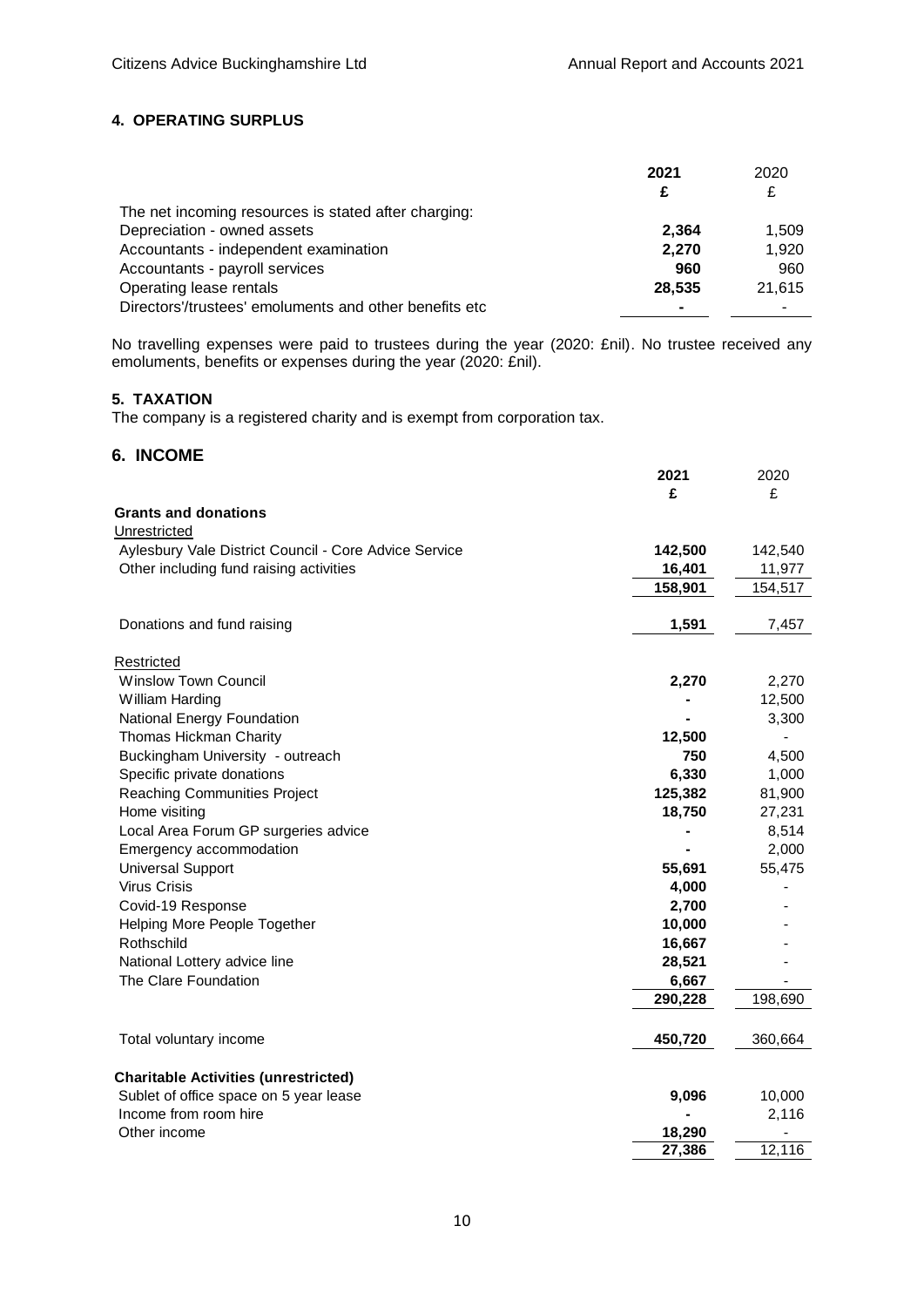# **4. OPERATING SURPLUS**

|                                                         | 2021   | 2020   |
|---------------------------------------------------------|--------|--------|
|                                                         | £      | £      |
| The net incoming resources is stated after charging:    |        |        |
| Depreciation - owned assets                             | 2.364  | 1.509  |
| Accountants - independent examination                   | 2.270  | 1,920  |
| Accountants - payroll services                          | 960    | 960    |
| Operating lease rentals                                 | 28.535 | 21,615 |
| Directors'/trustees' emoluments and other benefits etc. |        |        |

No travelling expenses were paid to trustees during the year (2020: £nil). No trustee received any emoluments, benefits or expenses during the year (2020: £nil).

# **5. TAXATION**

The company is a registered charity and is exempt from corporation tax.

# **6. INCOME**

|                                                       | 2021    | 2020    |
|-------------------------------------------------------|---------|---------|
|                                                       | £       | £       |
| <b>Grants and donations</b>                           |         |         |
| Unrestricted                                          |         |         |
| Aylesbury Vale District Council - Core Advice Service | 142,500 | 142,540 |
| Other including fund raising activities               | 16,401  | 11,977  |
|                                                       | 158,901 | 154,517 |
|                                                       |         |         |
| Donations and fund raising                            | 1,591   | 7,457   |
| Restricted                                            |         |         |
| <b>Winslow Town Council</b>                           | 2,270   | 2,270   |
| William Harding                                       |         | 12,500  |
| National Energy Foundation                            |         | 3,300   |
| Thomas Hickman Charity                                | 12,500  |         |
| Buckingham University - outreach                      | 750     | 4,500   |
| Specific private donations                            | 6,330   | 1,000   |
| <b>Reaching Communities Project</b>                   | 125,382 | 81,900  |
| Home visiting                                         | 18,750  | 27,231  |
| Local Area Forum GP surgeries advice                  |         | 8,514   |
| Emergency accommodation                               |         | 2,000   |
| <b>Universal Support</b>                              | 55,691  | 55,475  |
| <b>Virus Crisis</b>                                   | 4,000   |         |
| Covid-19 Response                                     | 2,700   |         |
| Helping More People Together                          | 10,000  |         |
| Rothschild                                            | 16,667  |         |
| National Lottery advice line                          | 28,521  |         |
| The Clare Foundation                                  | 6,667   |         |
|                                                       | 290,228 | 198,690 |
| Total voluntary income                                | 450,720 | 360,664 |
|                                                       |         |         |
| <b>Charitable Activities (unrestricted)</b>           |         |         |
| Sublet of office space on 5 year lease                | 9,096   | 10,000  |
| Income from room hire                                 |         | 2,116   |
| Other income                                          | 18,290  |         |
|                                                       | 27,386  | 12,116  |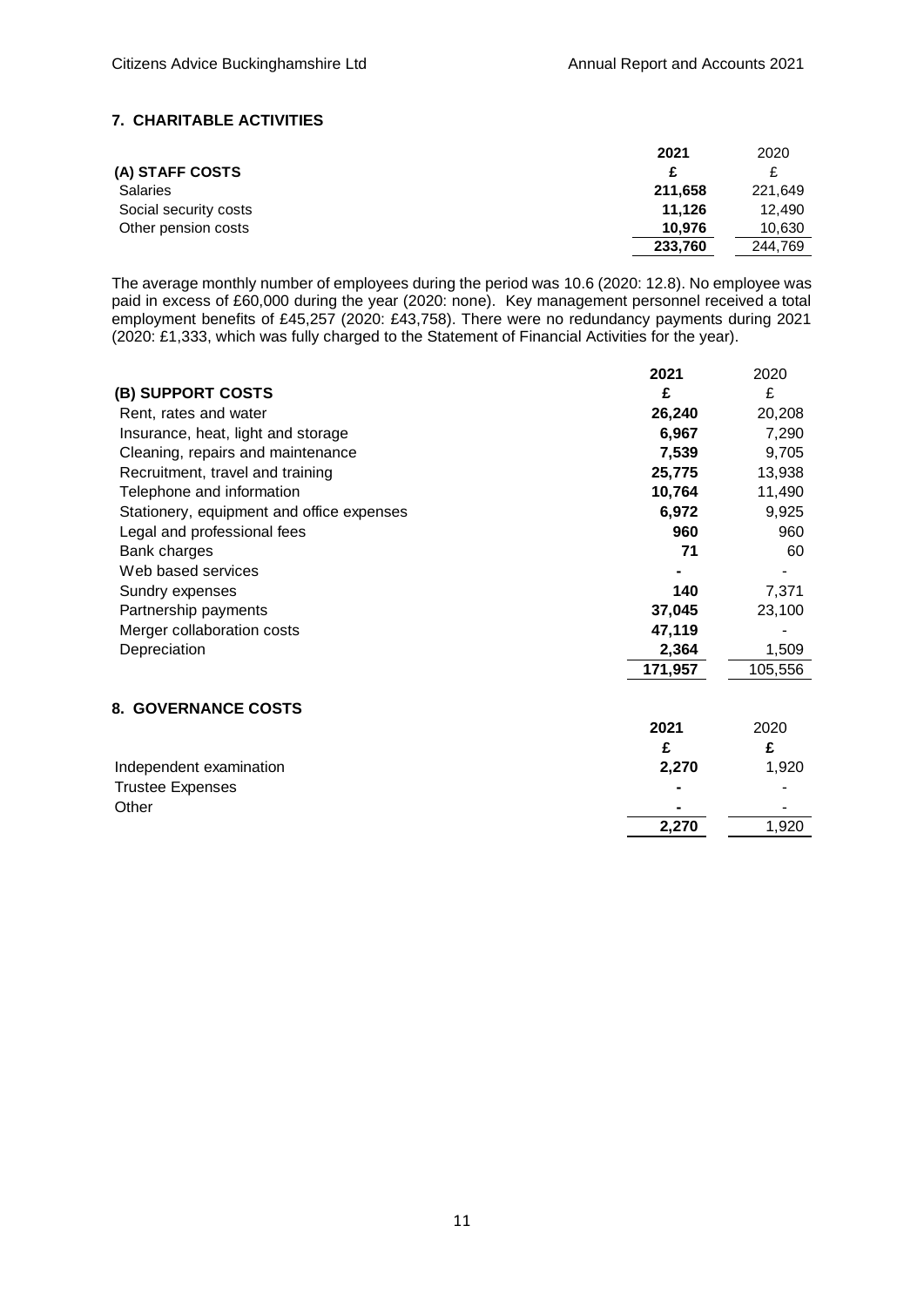# **7. CHARITABLE ACTIVITIES**

|                       | 2021    | 2020    |
|-----------------------|---------|---------|
| (A) STAFF COSTS       | £       |         |
| <b>Salaries</b>       | 211,658 | 221.649 |
| Social security costs | 11.126  | 12.490  |
| Other pension costs   | 10.976  | 10,630  |
|                       | 233,760 | 244.769 |

The average monthly number of employees during the period was 10.6 (2020: 12.8). No employee was paid in excess of £60,000 during the year (2020: none). Key management personnel received a total employment benefits of £45,257 (2020: £43,758). There were no redundancy payments during 2021 (2020: £1,333, which was fully charged to the Statement of Financial Activities for the year).

|                                           | 2021    | 2020    |
|-------------------------------------------|---------|---------|
| (B) SUPPORT COSTS                         | £       | £       |
| Rent, rates and water                     | 26,240  | 20,208  |
| Insurance, heat, light and storage        | 6,967   | 7,290   |
| Cleaning, repairs and maintenance         | 7,539   | 9,705   |
| Recruitment, travel and training          | 25,775  | 13,938  |
| Telephone and information                 | 10,764  | 11,490  |
| Stationery, equipment and office expenses | 6,972   | 9,925   |
| Legal and professional fees               | 960     | 960     |
| Bank charges                              | 71      | 60      |
| Web based services                        |         |         |
| Sundry expenses                           | 140     | 7,371   |
| Partnership payments                      | 37,045  | 23,100  |
| Merger collaboration costs                | 47,119  |         |
| Depreciation                              | 2,364   | 1,509   |
|                                           | 171,957 | 105,556 |
| <b>8. GOVERNANCE COSTS</b>                |         |         |
|                                           | 2021    | 2020    |
|                                           | £       | £       |
| Independent examination                   | 2,270   | 1,920   |
| <b>Trustee Expenses</b>                   |         |         |
| Other                                     |         |         |
|                                           | 2,270   | 1,920   |
|                                           |         |         |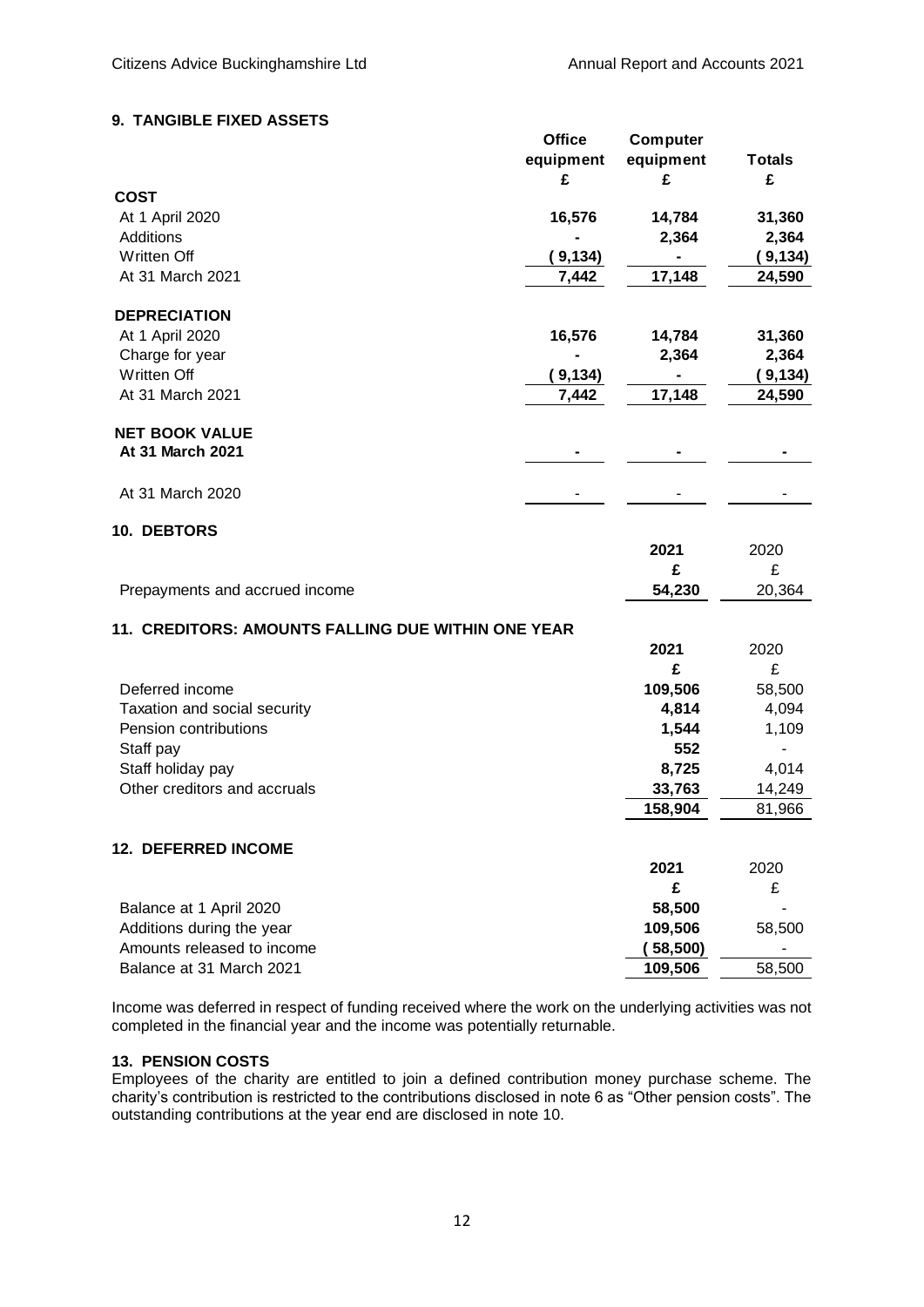# **9. TANGIBLE FIXED ASSETS**

|                                                    | <b>Office</b><br>equipment | Computer<br>equipment | <b>Totals</b> |
|----------------------------------------------------|----------------------------|-----------------------|---------------|
|                                                    | £                          | £                     | £             |
| <b>COST</b>                                        |                            |                       |               |
| At 1 April 2020                                    | 16,576                     | 14,784                | 31,360        |
| <b>Additions</b>                                   |                            | 2,364                 | 2,364         |
| Written Off                                        | (9, 134)                   |                       | (9, 134)      |
| At 31 March 2021                                   | 7,442                      | 17,148                | 24,590        |
| <b>DEPRECIATION</b>                                |                            |                       |               |
| At 1 April 2020                                    | 16,576                     | 14,784                | 31,360        |
| Charge for year                                    |                            | 2,364                 | 2,364         |
| Written Off                                        | (9, 134)                   |                       | (9, 134)      |
| At 31 March 2021                                   | 7,442                      | 17,148                | 24,590        |
|                                                    |                            |                       |               |
| <b>NET BOOK VALUE</b><br>At 31 March 2021          |                            |                       |               |
|                                                    |                            |                       |               |
| At 31 March 2020                                   |                            |                       |               |
| 10. DEBTORS                                        |                            |                       |               |
|                                                    |                            | 2021                  | 2020          |
|                                                    |                            | £                     | £             |
| Prepayments and accrued income                     |                            | 54,230                | 20,364        |
| 11. CREDITORS: AMOUNTS FALLING DUE WITHIN ONE YEAR |                            |                       |               |
|                                                    |                            | 2021                  | 2020          |
|                                                    |                            | £                     | £             |
| Deferred income                                    |                            | 109,506               | 58,500        |
| Taxation and social security                       |                            | 4,814                 | 4,094         |
| Pension contributions                              |                            | 1,544                 | 1,109         |
| Staff pay                                          |                            | 552                   |               |
| Staff holiday pay                                  |                            | 8,725                 | 4,014         |
| Other creditors and accruals                       |                            | 33,763                | 14,249        |
|                                                    |                            | 158,904               | 81,966        |
|                                                    |                            |                       |               |
| 12. DEFERRED INCOME                                |                            | 2021                  | 2020          |
|                                                    |                            | £                     | £             |
| Balance at 1 April 2020                            |                            | 58,500                |               |
| Additions during the year                          |                            | 109,506               | 58,500        |
| Amounts released to income                         |                            | (58,500)              |               |
| Balance at 31 March 2021                           |                            | 109,506               | 58,500        |
|                                                    |                            |                       |               |

Income was deferred in respect of funding received where the work on the underlying activities was not completed in the financial year and the income was potentially returnable.

# **13. PENSION COSTS**

Employees of the charity are entitled to join a defined contribution money purchase scheme. The charity's contribution is restricted to the contributions disclosed in note 6 as "Other pension costs". The outstanding contributions at the year end are disclosed in note 10.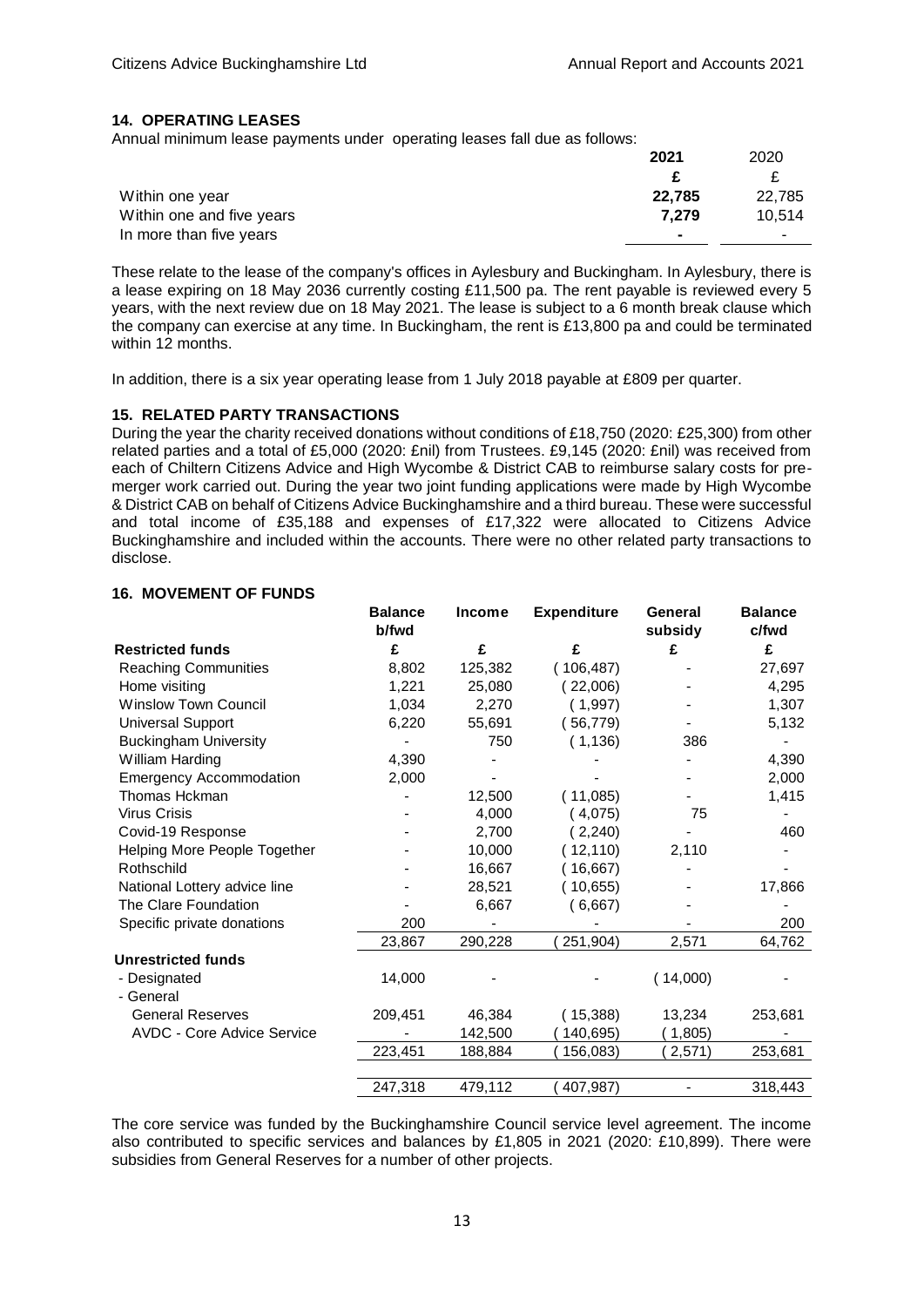### **14. OPERATING LEASES**

Annual minimum lease payments under operating leases fall due as follows:

|                           | 2021           | 2020   |
|---------------------------|----------------|--------|
|                           |                |        |
| Within one year           | 22.785         | 22.785 |
| Within one and five years | 7.279          | 10.514 |
| In more than five years   | $\blacksquare$ | -      |

These relate to the lease of the company's offices in Aylesbury and Buckingham. In Aylesbury, there is a lease expiring on 18 May 2036 currently costing £11,500 pa. The rent payable is reviewed every 5 years, with the next review due on 18 May 2021. The lease is subject to a 6 month break clause which the company can exercise at any time. In Buckingham, the rent is £13,800 pa and could be terminated within 12 months.

In addition, there is a six year operating lease from 1 July 2018 payable at £809 per quarter.

### **15. RELATED PARTY TRANSACTIONS**

During the year the charity received donations without conditions of £18,750 (2020: £25,300) from other related parties and a total of £5,000 (2020: £nil) from Trustees. £9,145 (2020: £nil) was received from each of Chiltern Citizens Advice and High Wycombe & District CAB to reimburse salary costs for premerger work carried out. During the year two joint funding applications were made by High Wycombe & District CAB on behalf of Citizens Advice Buckinghamshire and a third bureau. These were successful and total income of £35,188 and expenses of £17,322 were allocated to Citizens Advice Buckinghamshire and included within the accounts. There were no other related party transactions to disclose.

## **16. MOVEMENT OF FUNDS**

|                                   | <b>Balance</b> | <b>Income</b> | <b>Expenditure</b> | General  | <b>Balance</b> |
|-----------------------------------|----------------|---------------|--------------------|----------|----------------|
|                                   | b/fwd          |               |                    | subsidy  | c/fwd          |
| <b>Restricted funds</b>           | £              | £             | £                  | £        | £              |
| <b>Reaching Communities</b>       | 8,802          | 125,382       | (106, 487)         |          | 27,697         |
| Home visiting                     | 1,221          | 25,080        | (22,006)           |          | 4,295          |
| <b>Winslow Town Council</b>       | 1,034          | 2,270         | (1,997)            |          | 1,307          |
| <b>Universal Support</b>          | 6,220          | 55,691        | (56, 779)          |          | 5,132          |
| <b>Buckingham University</b>      |                | 750           | (1, 136)           | 386      |                |
| William Harding                   | 4,390          |               |                    |          | 4,390          |
| <b>Emergency Accommodation</b>    | 2,000          |               |                    |          | 2,000          |
| Thomas Hckman                     |                | 12,500        | (11,085)           |          | 1,415          |
| <b>Virus Crisis</b>               |                | 4,000         | (4,075)            | 75       |                |
| Covid-19 Response                 |                | 2,700         | (2,240)            |          | 460            |
| Helping More People Together      |                | 10,000        | (12, 110)          | 2,110    |                |
| Rothschild                        |                | 16,667        | 16,667)            |          |                |
| National Lottery advice line      |                | 28,521        | (10,655)           |          | 17,866         |
| The Clare Foundation              |                | 6,667         | (6,667)            |          |                |
| Specific private donations        | 200            |               |                    |          | 200            |
|                                   | 23,867         | 290,228       | 251,904)           | 2,571    | 64,762         |
| <b>Unrestricted funds</b>         |                |               |                    |          |                |
| - Designated                      | 14,000         |               |                    | (14,000) |                |
| - General                         |                |               |                    |          |                |
| <b>General Reserves</b>           | 209,451        | 46,384        | (15,388)           | 13,234   | 253,681        |
| <b>AVDC - Core Advice Service</b> |                | 142,500       | 140,695)           | (1,805)  |                |
|                                   | 223,451        | 188,884       | 156,083)           | 2,571)   | 253,681        |
|                                   |                |               |                    |          |                |
|                                   | 247,318        | 479,112       | 407,987)           |          | 318,443        |

The core service was funded by the Buckinghamshire Council service level agreement. The income also contributed to specific services and balances by £1,805 in 2021 (2020: £10,899). There were subsidies from General Reserves for a number of other projects.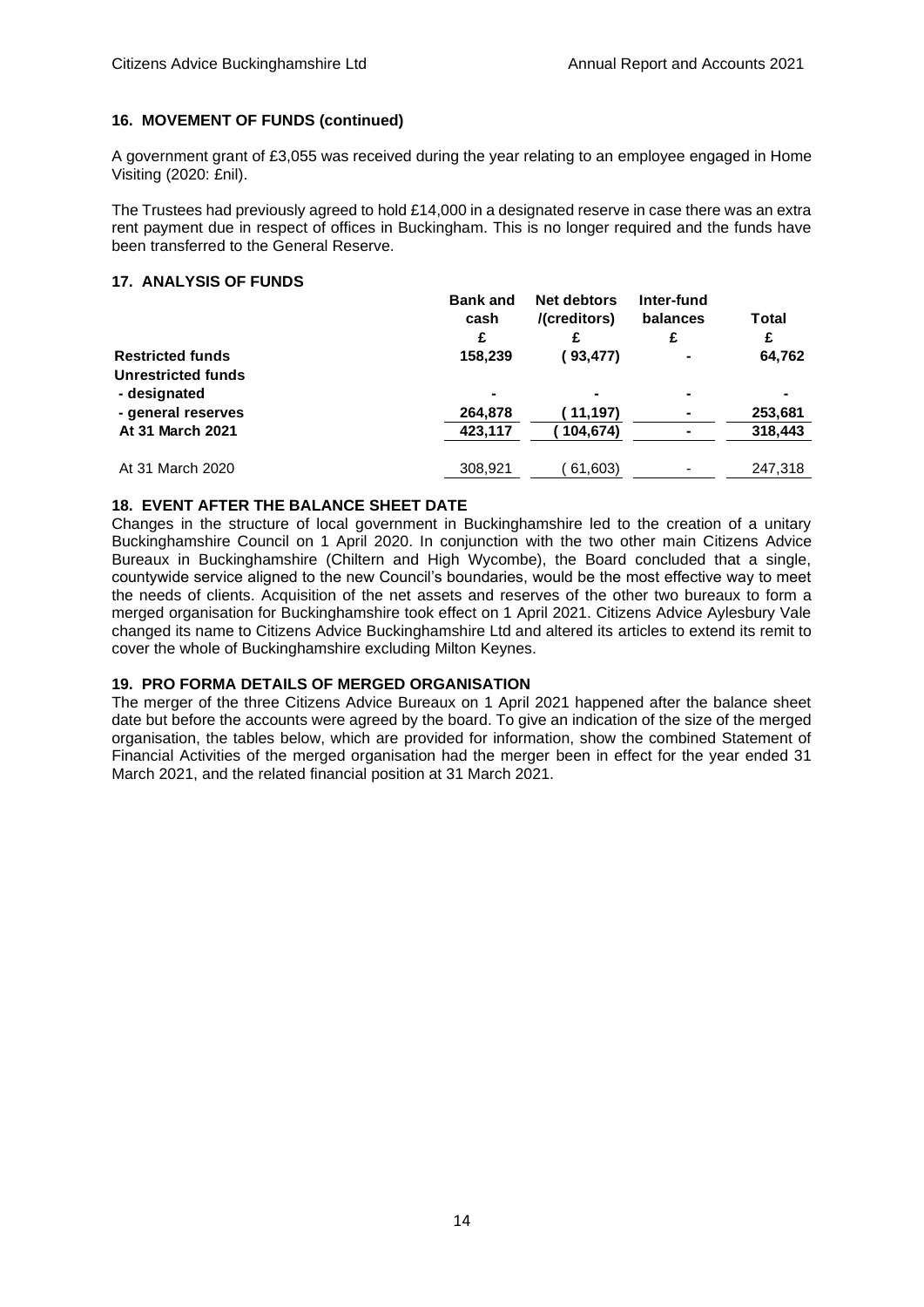### **16. MOVEMENT OF FUNDS (continued)**

A government grant of £3,055 was received during the year relating to an employee engaged in Home Visiting (2020: £nil).

The Trustees had previously agreed to hold £14,000 in a designated reserve in case there was an extra rent payment due in respect of offices in Buckingham. This is no longer required and the funds have been transferred to the General Reserve.

# **17. ANALYSIS OF FUNDS**

|                         | <b>Bank and</b><br>cash<br>£ | Net debtors<br>/(creditors) | Inter-fund<br>balances<br>£ | Total<br>£ |
|-------------------------|------------------------------|-----------------------------|-----------------------------|------------|
| <b>Restricted funds</b> | 158,239                      | (93,477)                    | ٠                           | 64,762     |
| Unrestricted funds      |                              |                             |                             |            |
| - designated            | $\overline{\phantom{0}}$     |                             |                             |            |
| - general reserves      | 264,878                      | (11, 197)                   | ۰                           | 253,681    |
| At 31 March 2021        | 423,117                      | 104,674)                    |                             | 318,443    |
| At 31 March 2020        | 308.921                      | 61,603)                     | $\blacksquare$              | 247.318    |

### **18. EVENT AFTER THE BALANCE SHEET DATE**

Changes in the structure of local government in Buckinghamshire led to the creation of a unitary Buckinghamshire Council on 1 April 2020. In conjunction with the two other main Citizens Advice Bureaux in Buckinghamshire (Chiltern and High Wycombe), the Board concluded that a single, countywide service aligned to the new Council's boundaries, would be the most effective way to meet the needs of clients. Acquisition of the net assets and reserves of the other two bureaux to form a merged organisation for Buckinghamshire took effect on 1 April 2021. Citizens Advice Aylesbury Vale changed its name to Citizens Advice Buckinghamshire Ltd and altered its articles to extend its remit to cover the whole of Buckinghamshire excluding Milton Keynes.

## **19. PRO FORMA DETAILS OF MERGED ORGANISATION**

The merger of the three Citizens Advice Bureaux on 1 April 2021 happened after the balance sheet date but before the accounts were agreed by the board. To give an indication of the size of the merged organisation, the tables below, which are provided for information, show the combined Statement of Financial Activities of the merged organisation had the merger been in effect for the year ended 31 March 2021, and the related financial position at 31 March 2021.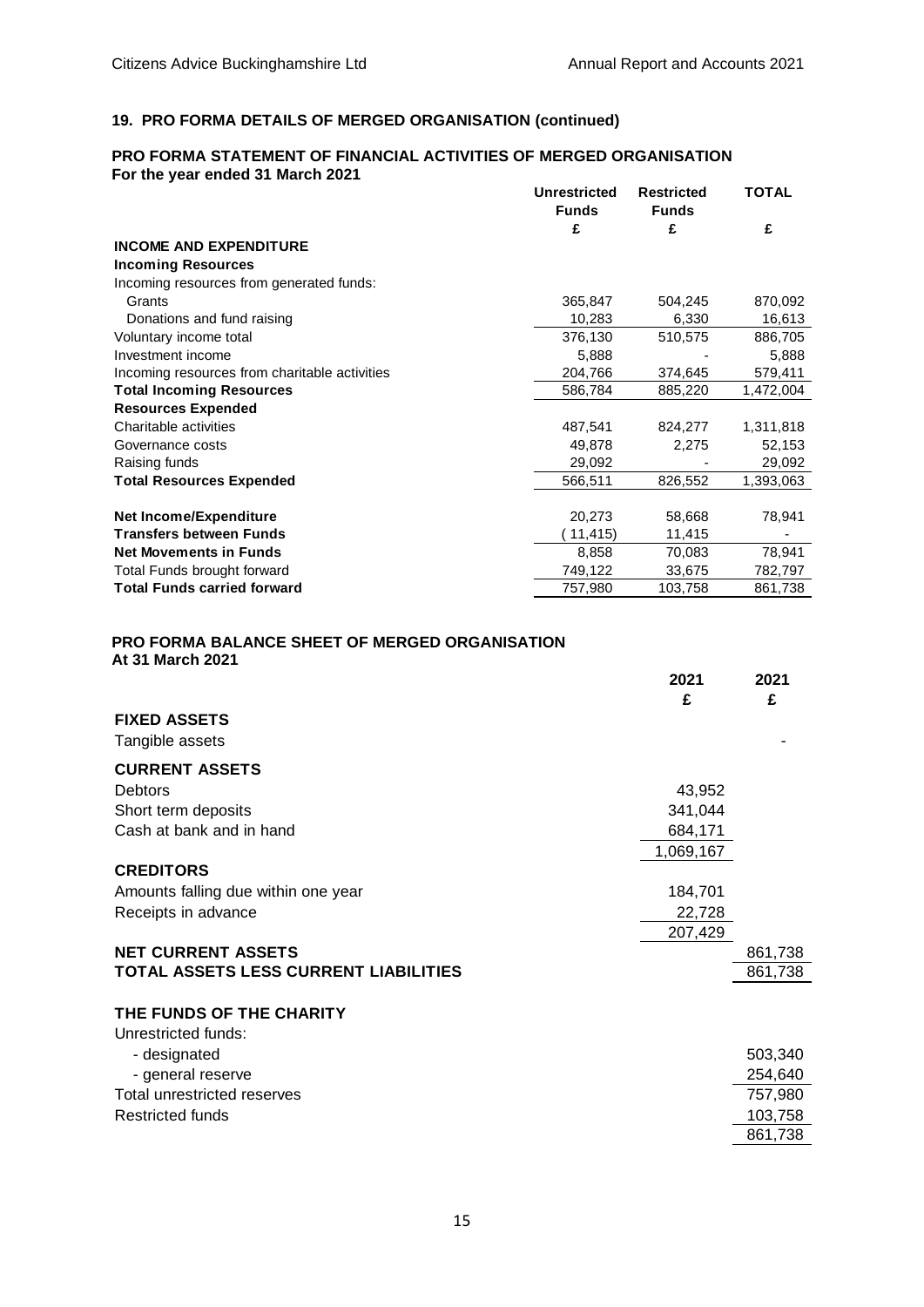#### **19. PRO FORMA DETAILS OF MERGED ORGANISATION (continued)**

### **PRO FORMA STATEMENT OF FINANCIAL ACTIVITIES OF MERGED ORGANISATION For the year ended 31 March 2021 Unrestricted Restricted TOTAL Funds Funds £ £ £ INCOME AND EXPENDITURE Incoming Resources** Incoming resources from generated funds: Grants 365,847 504,245 870,092 Donations and fund raising 10,283 6,330 16,613 Voluntary income total 376,130 510,575 886,705 Investment income 5,888 - 5,888 Incoming resources from charitable activities 204,766 374,645 579,411 **Total Incoming Resources** 686,784 885,220 1,472,004 **Resources Expended** Charitable activities 487,541 824,277 1,311,818 Governance costs 62,153 and 52,153 and 52,153 and 52,153 and 52,153 and 52,153 and 52,153 and 52,153 and 52,153 and 52,153 and 52,153 and 52,153 and 52,153 and 52,153 and 52,153 and 52,153 and 52,153 and 52,153 and 52,153 Raising funds 29,092 - 29,092 **Total Resources Expended** 566,511 826,552 1,393,063 **Net Income/Expenditure** 20,273 58,668 78,941 **Transfers between Funds** (11,415) 11,415 **Net Movements in Funds** 8,858 70,083 78,941 Total Funds brought forward 749,122 33,675 782,797

**Total Funds carried forward** 757,980 103,758 861,738

# **PRO FORMA BALANCE SHEET OF MERGED ORGANISATION**

|  | At 31 March 2021 |  |
|--|------------------|--|
|--|------------------|--|

|                                       | 2021      | 2021    |
|---------------------------------------|-----------|---------|
|                                       | £         | £       |
| <b>FIXED ASSETS</b>                   |           |         |
| Tangible assets                       |           |         |
| <b>CURRENT ASSETS</b>                 |           |         |
| <b>Debtors</b>                        | 43,952    |         |
| Short term deposits                   | 341,044   |         |
| Cash at bank and in hand              | 684,171   |         |
|                                       | 1,069,167 |         |
| <b>CREDITORS</b>                      |           |         |
| Amounts falling due within one year   | 184,701   |         |
| Receipts in advance                   | 22,728    |         |
|                                       | 207,429   |         |
| <b>NET CURRENT ASSETS</b>             |           | 861,738 |
| TOTAL ASSETS LESS CURRENT LIABILITIES |           | 861,738 |
|                                       |           |         |
| THE FUNDS OF THE CHARITY              |           |         |
| Unrestricted funds:                   |           |         |
| - designated                          |           | 503,340 |
| - general reserve                     |           | 254,640 |
| Total unrestricted reserves           |           | 757,980 |
| <b>Restricted funds</b>               |           | 103,758 |
|                                       |           | 861,738 |